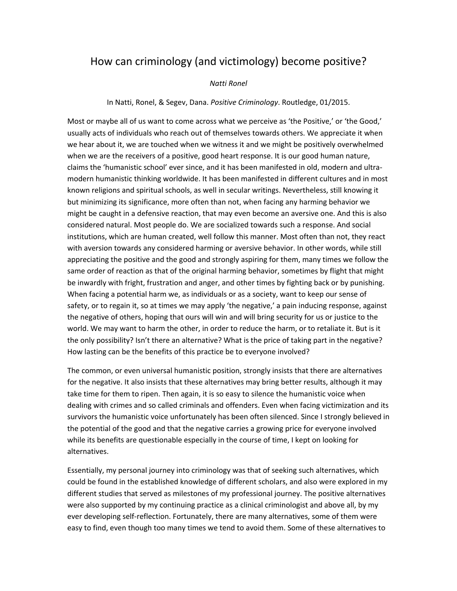# How can criminology (and victimology) become positive?

#### *Natti Ronel*

#### In Natti, Ronel, & Segev, Dana. *Positive Criminology*. Routledge, 01/2015.

Most or maybe all of us want to come across what we perceive as 'the Positive,' or 'the Good,' usually acts of individuals who reach out of themselves towards others. We appreciate it when we hear about it, we are touched when we witness it and we might be positively overwhelmed when we are the receivers of a positive, good heart response. It is our good human nature, claims the 'humanistic school' ever since, and it has been manifested in old, modern and ultramodern humanistic thinking worldwide. It has been manifested in different cultures and in most known religions and spiritual schools, as well in secular writings. Nevertheless, still knowing it but minimizing its significance, more often than not, when facing any harming behavior we might be caught in a defensive reaction, that may even become an aversive one. And this is also considered natural. Most people do. We are socialized towards such a response. And social institutions, which are human created, well follow this manner. Most often than not, they react with aversion towards any considered harming or aversive behavior. In other words, while still appreciating the positive and the good and strongly aspiring for them, many times we follow the same order of reaction as that of the original harming behavior, sometimes by flight that might be inwardly with fright, frustration and anger, and other times by fighting back or by punishing. When facing a potential harm we, as individuals or as a society, want to keep our sense of safety, or to regain it, so at times we may apply 'the negative,' a pain inducing response, against the negative of others, hoping that ours will win and will bring security for us or justice to the world. We may want to harm the other, in order to reduce the harm, or to retaliate it. But is it the only possibility? Isn't there an alternative? What is the price of taking part in the negative? How lasting can be the benefits of this practice be to everyone involved?

The common, or even universal humanistic position, strongly insists that there are alternatives for the negative. It also insists that these alternatives may bring better results, although it may take time for them to ripen. Then again, it is so easy to silence the humanistic voice when dealing with crimes and so called criminals and offenders. Even when facing victimization and its survivors the humanistic voice unfortunately has been often silenced. Since I strongly believed in the potential of the good and that the negative carries a growing price for everyone involved while its benefits are questionable especially in the course of time, I kept on looking for alternatives.

Essentially, my personal journey into criminology was that of seeking such alternatives, which could be found in the established knowledge of different scholars, and also were explored in my different studies that served as milestones of my professional journey. The positive alternatives were also supported by my continuing practice as a clinical criminologist and above all, by my ever developing self-reflection. Fortunately, there are many alternatives, some of them were easy to find, even though too many times we tend to avoid them. Some of these alternatives to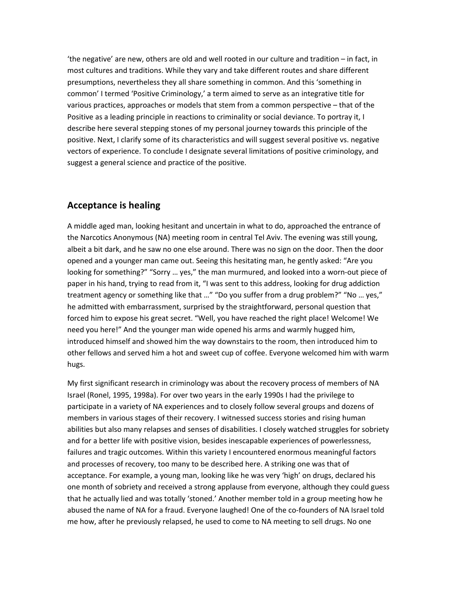'the negative' are new, others are old and well rooted in our culture and tradition – in fact, in most cultures and traditions. While they vary and take different routes and share different presumptions, nevertheless they all share something in common. And this 'something in common' I termed 'Positive Criminology,' a term aimed to serve as an integrative title for various practices, approaches or models that stem from a common perspective – that of the Positive as a leading principle in reactions to criminality or social deviance. To portray it, I describe here several stepping stones of my personal journey towards this principle of the positive. Next, I clarify some of its characteristics and will suggest several positive vs. negative vectors of experience. To conclude I designate several limitations of positive criminology, and suggest a general science and practice of the positive.

# **Acceptance is healing**

A middle aged man, looking hesitant and uncertain in what to do, approached the entrance of the Narcotics Anonymous (NA) meeting room in central Tel Aviv. The evening was still young, albeit a bit dark, and he saw no one else around. There was no sign on the door. Then the door opened and a younger man came out. Seeing this hesitating man, he gently asked: "Are you looking for something?" "Sorry … yes," the man murmured, and looked into a worn-out piece of paper in his hand, trying to read from it, "I was sent to this address, looking for drug addiction treatment agency or something like that …" "Do you suffer from a drug problem?" "No … yes," he admitted with embarrassment, surprised by the straightforward, personal question that forced him to expose his great secret. "Well, you have reached the right place! Welcome! We need you here!" And the younger man wide opened his arms and warmly hugged him, introduced himself and showed him the way downstairs to the room, then introduced him to other fellows and served him a hot and sweet cup of coffee. Everyone welcomed him with warm hugs.

My first significant research in criminology was about the recovery process of members of NA Israel (Ronel, 1995, 1998a). For over two years in the early 1990s I had the privilege to participate in a variety of NA experiences and to closely follow several groups and dozens of members in various stages of their recovery. I witnessed success stories and rising human abilities but also many relapses and senses of disabilities. I closely watched struggles for sobriety and for a better life with positive vision, besides inescapable experiences of powerlessness, failures and tragic outcomes. Within this variety I encountered enormous meaningful factors and processes of recovery, too many to be described here. A striking one was that of acceptance. For example, a young man, looking like he was very 'high' on drugs, declared his one month of sobriety and received a strong applause from everyone, although they could guess that he actually lied and was totally 'stoned.' Another member told in a group meeting how he abused the name of NA for a fraud. Everyone laughed! One of the co-founders of NA Israel told me how, after he previously relapsed, he used to come to NA meeting to sell drugs. No one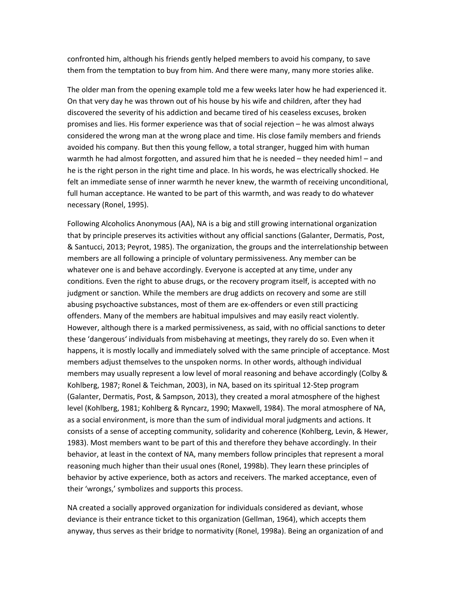confronted him, although his friends gently helped members to avoid his company, to save them from the temptation to buy from him. And there were many, many more stories alike.

The older man from the opening example told me a few weeks later how he had experienced it. On that very day he was thrown out of his house by his wife and children, after they had discovered the severity of his addiction and became tired of his ceaseless excuses, broken promises and lies. His former experience was that of social rejection – he was almost always considered the wrong man at the wrong place and time. His close family members and friends avoided his company. But then this young fellow, a total stranger, hugged him with human warmth he had almost forgotten, and assured him that he is needed – they needed him! – and he is the right person in the right time and place. In his words, he was electrically shocked. He felt an immediate sense of inner warmth he never knew, the warmth of receiving unconditional, full human acceptance. He wanted to be part of this warmth, and was ready to do whatever necessary (Ronel, 1995).

Following Alcoholics Anonymous (AA), NA is a big and still growing international organization that by principle preserves its activities without any official sanctions (Galanter, Dermatis, Post, & Santucci, 2013; Peyrot, 1985). The organization, the groups and the interrelationship between members are all following a principle of voluntary permissiveness. Any member can be whatever one is and behave accordingly. Everyone is accepted at any time, under any conditions. Even the right to abuse drugs, or the recovery program itself, is accepted with no judgment or sanction. While the members are drug addicts on recovery and some are still abusing psychoactive substances, most of them are ex-offenders or even still practicing offenders. Many of the members are habitual impulsives and may easily react violently. However, although there is a marked permissiveness, as said, with no official sanctions to deter these 'dangerous' individuals from misbehaving at meetings, they rarely do so. Even when it happens, it is mostly locally and immediately solved with the same principle of acceptance. Most members adjust themselves to the unspoken norms. In other words, although individual members may usually represent a low level of moral reasoning and behave accordingly (Colby & Kohlberg, 1987; Ronel & Teichman, 2003), in NA, based on its spiritual 12-Step program (Galanter, Dermatis, Post, & Sampson, 2013), they created a moral atmosphere of the highest level (Kohlberg, 1981; Kohlberg & Ryncarz, 1990; Maxwell, 1984). The moral atmosphere of NA, as a social environment, is more than the sum of individual moral judgments and actions. It consists of a sense of accepting community, solidarity and coherence (Kohlberg, Levin, & Hewer, 1983). Most members want to be part of this and therefore they behave accordingly. In their behavior, at least in the context of NA, many members follow principles that represent a moral reasoning much higher than their usual ones (Ronel, 1998b). They learn these principles of behavior by active experience, both as actors and receivers. The marked acceptance, even of their 'wrongs,' symbolizes and supports this process.

NA created a socially approved organization for individuals considered as deviant, whose deviance is their entrance ticket to this organization (Gellman, 1964), which accepts them anyway, thus serves as their bridge to normativity (Ronel, 1998a). Being an organization of and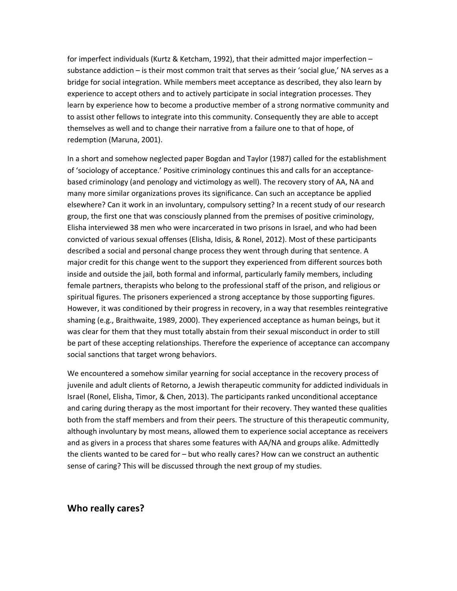for imperfect individuals (Kurtz & Ketcham, 1992), that their admitted major imperfection – substance addiction – is their most common trait that serves as their 'social glue,' NA serves as a bridge for social integration. While members meet acceptance as described, they also learn by experience to accept others and to actively participate in social integration processes. They learn by experience how to become a productive member of a strong normative community and to assist other fellows to integrate into this community. Consequently they are able to accept themselves as well and to change their narrative from a failure one to that of hope, of redemption (Maruna, 2001).

In a short and somehow neglected paper Bogdan and Taylor (1987) called for the establishment of 'sociology of acceptance.' Positive criminology continues this and calls for an acceptancebased criminology (and penology and victimology as well). The recovery story of AA, NA and many more similar organizations proves its significance. Can such an acceptance be applied elsewhere? Can it work in an involuntary, compulsory setting? In a recent study of our research group, the first one that was consciously planned from the premises of positive criminology, Elisha interviewed 38 men who were incarcerated in two prisons in Israel, and who had been convicted of various sexual offenses (Elisha, Idisis, & Ronel, 2012). Most of these participants described a social and personal change process they went through during that sentence. A major credit for this change went to the support they experienced from different sources both inside and outside the jail, both formal and informal, particularly family members, including female partners, therapists who belong to the professional staff of the prison, and religious or spiritual figures. The prisoners experienced a strong acceptance by those supporting figures. However, it was conditioned by their progress in recovery, in a way that resembles reintegrative shaming (e.g., Braithwaite, 1989, 2000). They experienced acceptance as human beings, but it was clear for them that they must totally abstain from their sexual misconduct in order to still be part of these accepting relationships. Therefore the experience of acceptance can accompany social sanctions that target wrong behaviors.

We encountered a somehow similar yearning for social acceptance in the recovery process of juvenile and adult clients of Retorno, a Jewish therapeutic community for addicted individuals in Israel (Ronel, Elisha, Timor, & Chen, 2013). The participants ranked unconditional acceptance and caring during therapy as the most important for their recovery. They wanted these qualities both from the staff members and from their peers. The structure of this therapeutic community, although involuntary by most means, allowed them to experience social acceptance as receivers and as givers in a process that shares some features with AA/NA and groups alike. Admittedly the clients wanted to be cared for – but who really cares? How can we construct an authentic sense of caring? This will be discussed through the next group of my studies.

# **Who really cares?**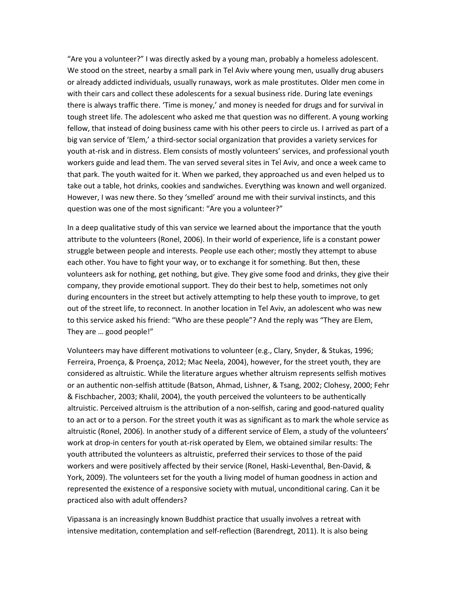"Are you a volunteer?" I was directly asked by a young man, probably a homeless adolescent. We stood on the street, nearby a small park in Tel Aviv where young men, usually drug abusers or already addicted individuals, usually runaways, work as male prostitutes. Older men come in with their cars and collect these adolescents for a sexual business ride. During late evenings there is always traffic there. 'Time is money,' and money is needed for drugs and for survival in tough street life. The adolescent who asked me that question was no different. A young working fellow, that instead of doing business came with his other peers to circle us. I arrived as part of a big van service of 'Elem,' a third-sector social organization that provides a variety services for youth at-risk and in distress. Elem consists of mostly volunteers' services, and professional youth workers guide and lead them. The van served several sites in Tel Aviv, and once a week came to that park. The youth waited for it. When we parked, they approached us and even helped us to take out a table, hot drinks, cookies and sandwiches. Everything was known and well organized. However, I was new there. So they 'smelled' around me with their survival instincts, and this question was one of the most significant: "Are you a volunteer?"

In a deep qualitative study of this van service we learned about the importance that the youth attribute to the volunteers (Ronel, 2006). In their world of experience, life is a constant power struggle between people and interests. People use each other; mostly they attempt to abuse each other. You have to fight your way, or to exchange it for something. But then, these volunteers ask for nothing, get nothing, but give. They give some food and drinks, they give their company, they provide emotional support. They do their best to help, sometimes not only during encounters in the street but actively attempting to help these youth to improve, to get out of the street life, to reconnect. In another location in Tel Aviv, an adolescent who was new to this service asked his friend: "Who are these people"? And the reply was "They are Elem, They are … good people!"

Volunteers may have different motivations to volunteer (e.g., Clary, Snyder, & Stukas, 1996; Ferreira, Proença, & Proença, 2012; Mac Neela, 2004), however, for the street youth, they are considered as altruistic. While the literature argues whether altruism represents selfish motives or an authentic non-selfish attitude (Batson, Ahmad, Lishner, & Tsang, 2002; Clohesy, 2000; Fehr & Fischbacher, 2003; Khalil, 2004), the youth perceived the volunteers to be authentically altruistic. Perceived altruism is the attribution of a non-selfish, caring and good-natured quality to an act or to a person. For the street youth it was as significant as to mark the whole service as altruistic (Ronel, 2006). In another study of a different service of Elem, a study of the volunteers' work at drop-in centers for youth at-risk operated by Elem, we obtained similar results: The youth attributed the volunteers as altruistic, preferred their services to those of the paid workers and were positively affected by their service (Ronel, Haski-Leventhal, Ben-David, & York, 2009). The volunteers set for the youth a living model of human goodness in action and represented the existence of a responsive society with mutual, unconditional caring. Can it be practiced also with adult offenders?

Vipassana is an increasingly known Buddhist practice that usually involves a retreat with intensive meditation, contemplation and self-reflection (Barendregt, 2011). It is also being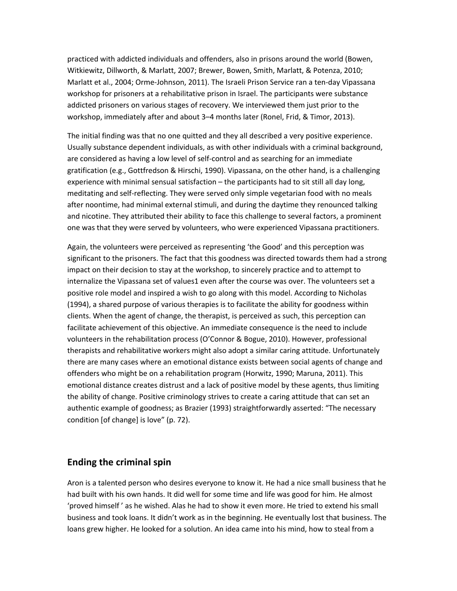practiced with addicted individuals and offenders, also in prisons around the world (Bowen, Witkiewitz, Dillworth, & Marlatt, 2007; Brewer, Bowen, Smith, Marlatt, & Potenza, 2010; Marlatt et al., 2004; Orme-Johnson, 2011). The Israeli Prison Service ran a ten-day Vipassana workshop for prisoners at a rehabilitative prison in Israel. The participants were substance addicted prisoners on various stages of recovery. We interviewed them just prior to the workshop, immediately after and about 3–4 months later (Ronel, Frid, & Timor, 2013).

The initial finding was that no one quitted and they all described a very positive experience. Usually substance dependent individuals, as with other individuals with a criminal background, are considered as having a low level of self-control and as searching for an immediate gratification (e.g., Gottfredson & Hirschi, 1990). Vipassana, on the other hand, is a challenging experience with minimal sensual satisfaction – the participants had to sit still all day long, meditating and self-reflecting. They were served only simple vegetarian food with no meals after noontime, had minimal external stimuli, and during the daytime they renounced talking and nicotine. They attributed their ability to face this challenge to several factors, a prominent one was that they were served by volunteers, who were experienced Vipassana practitioners.

Again, the volunteers were perceived as representing 'the Good' and this perception was significant to the prisoners. The fact that this goodness was directed towards them had a strong impact on their decision to stay at the workshop, to sincerely practice and to attempt to internalize the Vipassana set of values1 even after the course was over. The volunteers set a positive role model and inspired a wish to go along with this model. According to Nicholas (1994), a shared purpose of various therapies is to facilitate the ability for goodness within clients. When the agent of change, the therapist, is perceived as such, this perception can facilitate achievement of this objective. An immediate consequence is the need to include volunteers in the rehabilitation process (O'Connor & Bogue, 2010). However, professional therapists and rehabilitative workers might also adopt a similar caring attitude. Unfortunately there are many cases where an emotional distance exists between social agents of change and offenders who might be on a rehabilitation program (Horwitz, 1990; Maruna, 2011). This emotional distance creates distrust and a lack of positive model by these agents, thus limiting the ability of change. Positive criminology strives to create a caring attitude that can set an authentic example of goodness; as Brazier (1993) straightforwardly asserted: "The necessary condition [of change] is love" (p. 72).

### **Ending the criminal spin**

Aron is a talented person who desires everyone to know it. He had a nice small business that he had built with his own hands. It did well for some time and life was good for him. He almost 'proved himself ' as he wished. Alas he had to show it even more. He tried to extend his small business and took loans. It didn't work as in the beginning. He eventually lost that business. The loans grew higher. He looked for a solution. An idea came into his mind, how to steal from a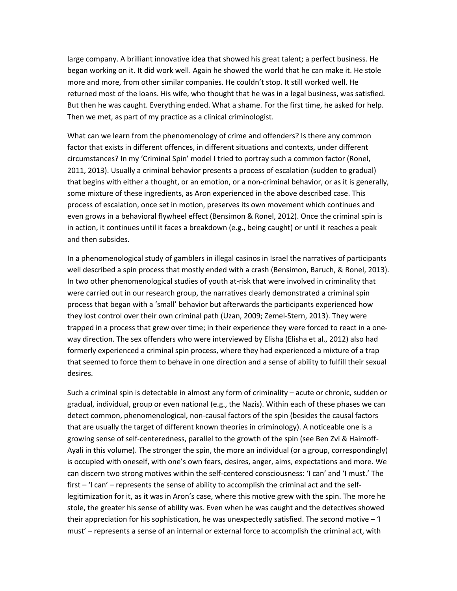large company. A brilliant innovative idea that showed his great talent; a perfect business. He began working on it. It did work well. Again he showed the world that he can make it. He stole more and more, from other similar companies. He couldn't stop. It still worked well. He returned most of the loans. His wife, who thought that he was in a legal business, was satisfied. But then he was caught. Everything ended. What a shame. For the first time, he asked for help. Then we met, as part of my practice as a clinical criminologist.

What can we learn from the phenomenology of crime and offenders? Is there any common factor that exists in different offences, in different situations and contexts, under different circumstances? In my 'Criminal Spin' model I tried to portray such a common factor (Ronel, 2011, 2013). Usually a criminal behavior presents a process of escalation (sudden to gradual) that begins with either a thought, or an emotion, or a non-criminal behavior, or as it is generally, some mixture of these ingredients, as Aron experienced in the above described case. This process of escalation, once set in motion, preserves its own movement which continues and even grows in a behavioral flywheel effect (Bensimon & Ronel, 2012). Once the criminal spin is in action, it continues until it faces a breakdown (e.g., being caught) or until it reaches a peak and then subsides.

In a phenomenological study of gamblers in illegal casinos in Israel the narratives of participants well described a spin process that mostly ended with a crash (Bensimon, Baruch, & Ronel, 2013). In two other phenomenological studies of youth at-risk that were involved in criminality that were carried out in our research group, the narratives clearly demonstrated a criminal spin process that began with a 'small' behavior but afterwards the participants experienced how they lost control over their own criminal path (Uzan, 2009; Zemel-Stern, 2013). They were trapped in a process that grew over time; in their experience they were forced to react in a oneway direction. The sex offenders who were interviewed by Elisha (Elisha et al., 2012) also had formerly experienced a criminal spin process, where they had experienced a mixture of a trap that seemed to force them to behave in one direction and a sense of ability to fulfill their sexual desires.

Such a criminal spin is detectable in almost any form of criminality – acute or chronic, sudden or gradual, individual, group or even national (e.g., the Nazis). Within each of these phases we can detect common, phenomenological, non-causal factors of the spin (besides the causal factors that are usually the target of different known theories in criminology). A noticeable one is a growing sense of self-centeredness, parallel to the growth of the spin (see Ben Zvi & Haimoff-Ayali in this volume). The stronger the spin, the more an individual (or a group, correspondingly) is occupied with oneself, with one's own fears, desires, anger, aims, expectations and more. We can discern two strong motives within the self-centered consciousness: 'I can' and 'I must.' The first – 'I can' – represents the sense of ability to accomplish the criminal act and the selflegitimization for it, as it was in Aron's case, where this motive grew with the spin. The more he stole, the greater his sense of ability was. Even when he was caught and the detectives showed their appreciation for his sophistication, he was unexpectedly satisfied. The second motive – 'I must' – represents a sense of an internal or external force to accomplish the criminal act, with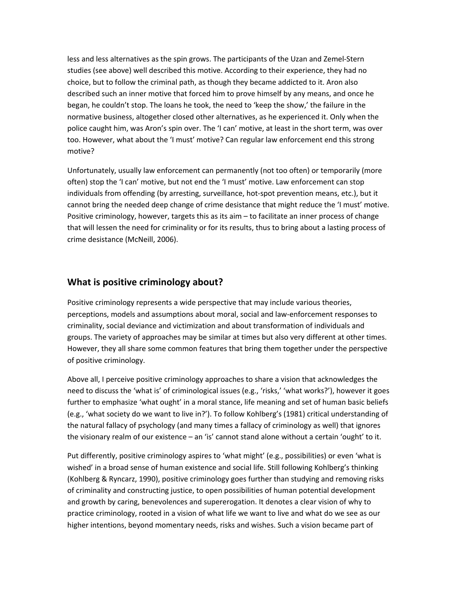less and less alternatives as the spin grows. The participants of the Uzan and Zemel-Stern studies (see above) well described this motive. According to their experience, they had no choice, but to follow the criminal path, as though they became addicted to it. Aron also described such an inner motive that forced him to prove himself by any means, and once he began, he couldn't stop. The loans he took, the need to 'keep the show,' the failure in the normative business, altogether closed other alternatives, as he experienced it. Only when the police caught him, was Aron's spin over. The 'I can' motive, at least in the short term, was over too. However, what about the 'I must' motive? Can regular law enforcement end this strong motive?

Unfortunately, usually law enforcement can permanently (not too often) or temporarily (more often) stop the 'I can' motive, but not end the 'I must' motive. Law enforcement can stop individuals from offending (by arresting, surveillance, hot-spot prevention means, etc.), but it cannot bring the needed deep change of crime desistance that might reduce the 'I must' motive. Positive criminology, however, targets this as its aim – to facilitate an inner process of change that will lessen the need for criminality or for its results, thus to bring about a lasting process of crime desistance (McNeill, 2006).

# **What is positive criminology about?**

Positive criminology represents a wide perspective that may include various theories, perceptions, models and assumptions about moral, social and law-enforcement responses to criminality, social deviance and victimization and about transformation of individuals and groups. The variety of approaches may be similar at times but also very different at other times. However, they all share some common features that bring them together under the perspective of positive criminology.

Above all, I perceive positive criminology approaches to share a vision that acknowledges the need to discuss the 'what is' of criminological issues (e.g., 'risks,' 'what works?'), however it goes further to emphasize 'what ought' in a moral stance, life meaning and set of human basic beliefs (e.g., 'what society do we want to live in?'). To follow Kohlberg's (1981) critical understanding of the natural fallacy of psychology (and many times a fallacy of criminology as well) that ignores the visionary realm of our existence – an 'is' cannot stand alone without a certain 'ought' to it.

Put differently, positive criminology aspires to 'what might' (e.g., possibilities) or even 'what is wished' in a broad sense of human existence and social life. Still following Kohlberg's thinking (Kohlberg & Ryncarz, 1990), positive criminology goes further than studying and removing risks of criminality and constructing justice, to open possibilities of human potential development and growth by caring, benevolences and supererogation. It denotes a clear vision of why to practice criminology, rooted in a vision of what life we want to live and what do we see as our higher intentions, beyond momentary needs, risks and wishes. Such a vision became part of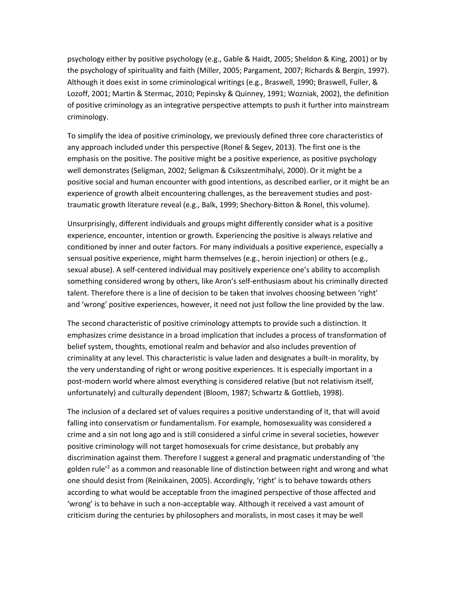psychology either by positive psychology (e.g., Gable & Haidt, 2005; Sheldon & King, 2001) or by the psychology of spirituality and faith (Miller, 2005; Pargament, 2007; Richards & Bergin, 1997). Although it does exist in some criminological writings (e.g., Braswell, 1990; Braswell, Fuller, & Lozoff, 2001; Martin & Stermac, 2010; Pepinsky & Quinney, 1991; Wozniak, 2002), the definition of positive criminology as an integrative perspective attempts to push it further into mainstream criminology.

To simplify the idea of positive criminology, we previously defined three core characteristics of any approach included under this perspective (Ronel & Segev, 2013). The first one is the emphasis on the positive. The positive might be a positive experience, as positive psychology well demonstrates (Seligman, 2002; Seligman & Csikszentmihalyi, 2000). Or it might be a positive social and human encounter with good intentions, as described earlier, or it might be an experience of growth albeit encountering challenges, as the bereavement studies and posttraumatic growth literature reveal (e.g., Balk, 1999; Shechory-Bitton & Ronel, this volume).

Unsurprisingly, different individuals and groups might differently consider what is a positive experience, encounter, intention or growth. Experiencing the positive is always relative and conditioned by inner and outer factors. For many individuals a positive experience, especially a sensual positive experience, might harm themselves (e.g., heroin injection) or others (e.g., sexual abuse). A self-centered individual may positively experience one's ability to accomplish something considered wrong by others, like Aron's self-enthusiasm about his criminally directed talent. Therefore there is a line of decision to be taken that involves choosing between 'right' and 'wrong' positive experiences, however, it need not just follow the line provided by the law.

The second characteristic of positive criminology attempts to provide such a distinction. It emphasizes crime desistance in a broad implication that includes a process of transformation of belief system, thoughts, emotional realm and behavior and also includes prevention of criminality at any level. This characteristic is value laden and designates a built-in morality, by the very understanding of right or wrong positive experiences. It is especially important in a post-modern world where almost everything is considered relative (but not relativism itself, unfortunately) and culturally dependent (Bloom, 1987; Schwartz & Gottlieb, 1998).

The inclusion of a declared set of values requires a positive understanding of it, that will avoid falling into conservatism or fundamentalism. For example, homosexuality was considered a crime and a sin not long ago and is still considered a sinful crime in several societies, however positive criminology will not target homosexuals for crime desistance, but probably any discrimination against them. Therefore I suggest a general and pragmatic understanding of 'the golden rule<sup>'2</sup> as a common and reasonable line of distinction between right and wrong and what one should desist from (Reinikainen, 2005). Accordingly, 'right' is to behave towards others according to what would be acceptable from the imagined perspective of those affected and 'wrong' is to behave in such a non-acceptable way. Although it received a vast amount of criticism during the centuries by philosophers and moralists, in most cases it may be well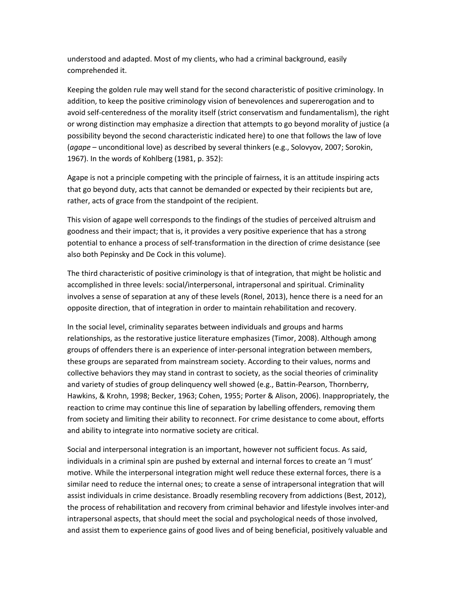understood and adapted. Most of my clients, who had a criminal background, easily comprehended it.

Keeping the golden rule may well stand for the second characteristic of positive criminology. In addition, to keep the positive criminology vision of benevolences and supererogation and to avoid self-centeredness of the morality itself (strict conservatism and fundamentalism), the right or wrong distinction may emphasize a direction that attempts to go beyond morality of justice (a possibility beyond the second characteristic indicated here) to one that follows the law of love (*agape* – unconditional love) as described by several thinkers (e.g., Solovyov, 2007; Sorokin, 1967). In the words of Kohlberg (1981, p. 352):

Agape is not a principle competing with the principle of fairness, it is an attitude inspiring acts that go beyond duty, acts that cannot be demanded or expected by their recipients but are, rather, acts of grace from the standpoint of the recipient.

This vision of agape well corresponds to the findings of the studies of perceived altruism and goodness and their impact; that is, it provides a very positive experience that has a strong potential to enhance a process of self-transformation in the direction of crime desistance (see also both Pepinsky and De Cock in this volume).

The third characteristic of positive criminology is that of integration, that might be holistic and accomplished in three levels: social/interpersonal, intrapersonal and spiritual. Criminality involves a sense of separation at any of these levels (Ronel, 2013), hence there is a need for an opposite direction, that of integration in order to maintain rehabilitation and recovery.

In the social level, criminality separates between individuals and groups and harms relationships, as the restorative justice literature emphasizes (Timor, 2008). Although among groups of offenders there is an experience of inter-personal integration between members, these groups are separated from mainstream society. According to their values, norms and collective behaviors they may stand in contrast to society, as the social theories of criminality and variety of studies of group delinquency well showed (e.g., Battin-Pearson, Thornberry, Hawkins, & Krohn, 1998; Becker, 1963; Cohen, 1955; Porter & Alison, 2006). Inappropriately, the reaction to crime may continue this line of separation by labelling offenders, removing them from society and limiting their ability to reconnect. For crime desistance to come about, efforts and ability to integrate into normative society are critical.

Social and interpersonal integration is an important, however not sufficient focus. As said, individuals in a criminal spin are pushed by external and internal forces to create an 'I must' motive. While the interpersonal integration might well reduce these external forces, there is a similar need to reduce the internal ones; to create a sense of intrapersonal integration that will assist individuals in crime desistance. Broadly resembling recovery from addictions (Best, 2012), the process of rehabilitation and recovery from criminal behavior and lifestyle involves inter-and intrapersonal aspects, that should meet the social and psychological needs of those involved, and assist them to experience gains of good lives and of being beneficial, positively valuable and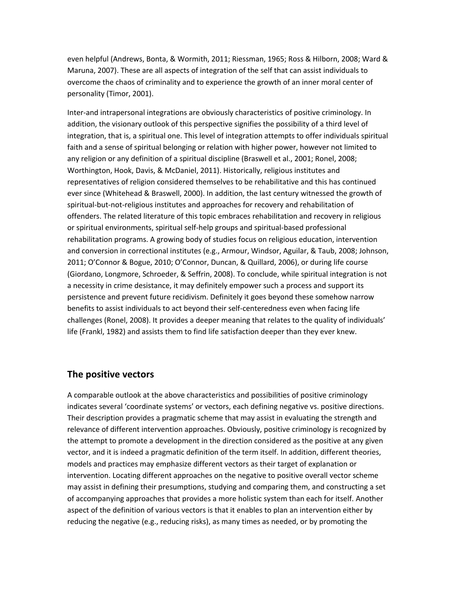even helpful (Andrews, Bonta, & Wormith, 2011; Riessman, 1965; Ross & Hilborn, 2008; Ward & Maruna, 2007). These are all aspects of integration of the self that can assist individuals to overcome the chaos of criminality and to experience the growth of an inner moral center of personality (Timor, 2001).

Inter-and intrapersonal integrations are obviously characteristics of positive criminology. In addition, the visionary outlook of this perspective signifies the possibility of a third level of integration, that is, a spiritual one. This level of integration attempts to offer individuals spiritual faith and a sense of spiritual belonging or relation with higher power, however not limited to any religion or any definition of a spiritual discipline (Braswell et al., 2001; Ronel, 2008; Worthington, Hook, Davis, & McDaniel, 2011). Historically, religious institutes and representatives of religion considered themselves to be rehabilitative and this has continued ever since (Whitehead & Braswell, 2000). In addition, the last century witnessed the growth of spiritual-but-not-religious institutes and approaches for recovery and rehabilitation of offenders. The related literature of this topic embraces rehabilitation and recovery in religious or spiritual environments, spiritual self-help groups and spiritual-based professional rehabilitation programs. A growing body of studies focus on religious education, intervention and conversion in correctional institutes (e.g., Armour, Windsor, Aguilar, & Taub, 2008; Johnson, 2011; O'Connor & Bogue, 2010; O'Connor, Duncan, & Quillard, 2006), or during life course (Giordano, Longmore, Schroeder, & Seffrin, 2008). To conclude, while spiritual integration is not a necessity in crime desistance, it may definitely empower such a process and support its persistence and prevent future recidivism. Definitely it goes beyond these somehow narrow benefits to assist individuals to act beyond their self-centeredness even when facing life challenges (Ronel, 2008). It provides a deeper meaning that relates to the quality of individuals' life (Frankl, 1982) and assists them to find life satisfaction deeper than they ever knew.

# **The positive vectors**

A comparable outlook at the above characteristics and possibilities of positive criminology indicates several 'coordinate systems' or vectors, each defining negative vs. positive directions. Their description provides a pragmatic scheme that may assist in evaluating the strength and relevance of different intervention approaches. Obviously, positive criminology is recognized by the attempt to promote a development in the direction considered as the positive at any given vector, and it is indeed a pragmatic definition of the term itself. In addition, different theories, models and practices may emphasize different vectors as their target of explanation or intervention. Locating different approaches on the negative to positive overall vector scheme may assist in defining their presumptions, studying and comparing them, and constructing a set of accompanying approaches that provides a more holistic system than each for itself. Another aspect of the definition of various vectors is that it enables to plan an intervention either by reducing the negative (e.g., reducing risks), as many times as needed, or by promoting the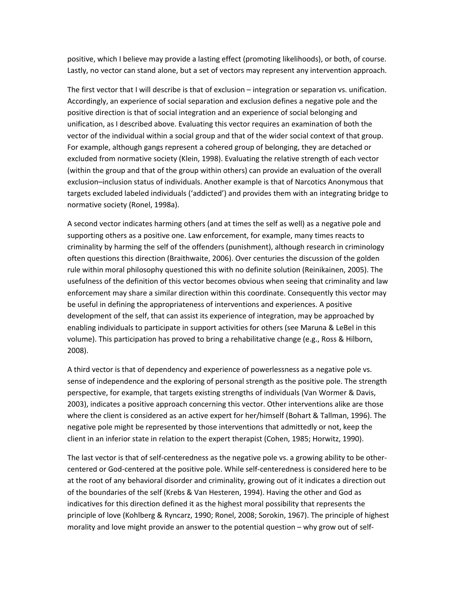positive, which I believe may provide a lasting effect (promoting likelihoods), or both, of course. Lastly, no vector can stand alone, but a set of vectors may represent any intervention approach.

The first vector that I will describe is that of exclusion - integration or separation vs. unification. Accordingly, an experience of social separation and exclusion defines a negative pole and the positive direction is that of social integration and an experience of social belonging and unification, as I described above. Evaluating this vector requires an examination of both the vector of the individual within a social group and that of the wider social context of that group. For example, although gangs represent a cohered group of belonging, they are detached or excluded from normative society (Klein, 1998). Evaluating the relative strength of each vector (within the group and that of the group within others) can provide an evaluation of the overall exclusion–inclusion status of individuals. Another example is that of Narcotics Anonymous that targets excluded labeled individuals ('addicted') and provides them with an integrating bridge to normative society (Ronel, 1998a).

A second vector indicates harming others (and at times the self as well) as a negative pole and supporting others as a positive one. Law enforcement, for example, many times reacts to criminality by harming the self of the offenders (punishment), although research in criminology often questions this direction (Braithwaite, 2006). Over centuries the discussion of the golden rule within moral philosophy questioned this with no definite solution (Reinikainen, 2005). The usefulness of the definition of this vector becomes obvious when seeing that criminality and law enforcement may share a similar direction within this coordinate. Consequently this vector may be useful in defining the appropriateness of interventions and experiences. A positive development of the self, that can assist its experience of integration, may be approached by enabling individuals to participate in support activities for others (see Maruna & LeBel in this volume). This participation has proved to bring a rehabilitative change (e.g., Ross & Hilborn, 2008).

A third vector is that of dependency and experience of powerlessness as a negative pole vs. sense of independence and the exploring of personal strength as the positive pole. The strength perspective, for example, that targets existing strengths of individuals (Van Wormer & Davis, 2003), indicates a positive approach concerning this vector. Other interventions alike are those where the client is considered as an active expert for her/himself (Bohart & Tallman, 1996). The negative pole might be represented by those interventions that admittedly or not, keep the client in an inferior state in relation to the expert therapist (Cohen, 1985; Horwitz, 1990).

The last vector is that of self-centeredness as the negative pole vs. a growing ability to be othercentered or God-centered at the positive pole. While self-centeredness is considered here to be at the root of any behavioral disorder and criminality, growing out of it indicates a direction out of the boundaries of the self (Krebs & Van Hesteren, 1994). Having the other and God as indicatives for this direction defined it as the highest moral possibility that represents the principle of love (Kohlberg & Ryncarz, 1990; Ronel, 2008; Sorokin, 1967). The principle of highest morality and love might provide an answer to the potential question – why grow out of self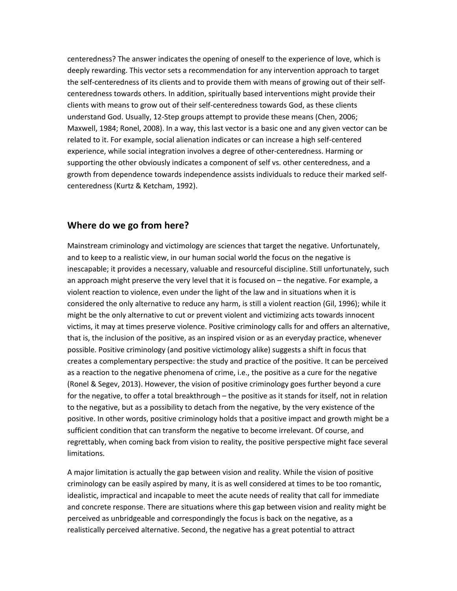centeredness? The answer indicates the opening of oneself to the experience of love, which is deeply rewarding. This vector sets a recommendation for any intervention approach to target the self-centeredness of its clients and to provide them with means of growing out of their selfcenteredness towards others. In addition, spiritually based interventions might provide their clients with means to grow out of their self-centeredness towards God, as these clients understand God. Usually, 12-Step groups attempt to provide these means (Chen, 2006; Maxwell, 1984; Ronel, 2008). In a way, this last vector is a basic one and any given vector can be related to it. For example, social alienation indicates or can increase a high self-centered experience, while social integration involves a degree of other-centeredness. Harming or supporting the other obviously indicates a component of self vs. other centeredness, and a growth from dependence towards independence assists individuals to reduce their marked selfcenteredness (Kurtz & Ketcham, 1992).

# **Where do we go from here?**

Mainstream criminology and victimology are sciences that target the negative. Unfortunately, and to keep to a realistic view, in our human social world the focus on the negative is inescapable; it provides a necessary, valuable and resourceful discipline. Still unfortunately, such an approach might preserve the very level that it is focused on – the negative. For example, a violent reaction to violence, even under the light of the law and in situations when it is considered the only alternative to reduce any harm, is still a violent reaction (Gil, 1996); while it might be the only alternative to cut or prevent violent and victimizing acts towards innocent victims, it may at times preserve violence. Positive criminology calls for and offers an alternative, that is, the inclusion of the positive, as an inspired vision or as an everyday practice, whenever possible. Positive criminology (and positive victimology alike) suggests a shift in focus that creates a complementary perspective: the study and practice of the positive. It can be perceived as a reaction to the negative phenomena of crime, i.e., the positive as a cure for the negative (Ronel & Segev, 2013). However, the vision of positive criminology goes further beyond a cure for the negative, to offer a total breakthrough – the positive as it stands for itself, not in relation to the negative, but as a possibility to detach from the negative, by the very existence of the positive. In other words, positive criminology holds that a positive impact and growth might be a sufficient condition that can transform the negative to become irrelevant. Of course, and regrettably, when coming back from vision to reality, the positive perspective might face several limitations.

A major limitation is actually the gap between vision and reality. While the vision of positive criminology can be easily aspired by many, it is as well considered at times to be too romantic, idealistic, impractical and incapable to meet the acute needs of reality that call for immediate and concrete response. There are situations where this gap between vision and reality might be perceived as unbridgeable and correspondingly the focus is back on the negative, as a realistically perceived alternative. Second, the negative has a great potential to attract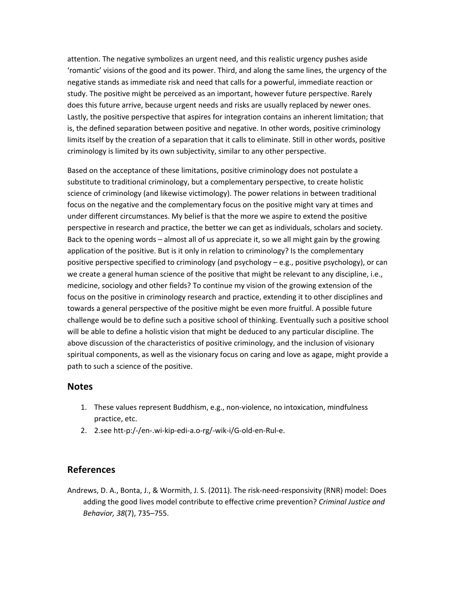attention. The negative symbolizes an urgent need, and this realistic urgency pushes aside 'romantic' visions of the good and its power. Third, and along the same lines, the urgency of the negative stands as immediate risk and need that calls for a powerful, immediate reaction or study. The positive might be perceived as an important, however future perspective. Rarely does this future arrive, because urgent needs and risks are usually replaced by newer ones. Lastly, the positive perspective that aspires for integration contains an inherent limitation; that is, the defined separation between positive and negative. In other words, positive criminology limits itself by the creation of a separation that it calls to eliminate. Still in other words, positive criminology is limited by its own subjectivity, similar to any other perspective.

Based on the acceptance of these limitations, positive criminology does not postulate a substitute to traditional criminology, but a complementary perspective, to create holistic science of criminology (and likewise victimology). The power relations in between traditional focus on the negative and the complementary focus on the positive might vary at times and under different circumstances. My belief is that the more we aspire to extend the positive perspective in research and practice, the better we can get as individuals, scholars and society. Back to the opening words – almost all of us appreciate it, so we all might gain by the growing application of the positive. But is it only in relation to criminology? Is the complementary positive perspective specified to criminology (and psychology – e.g., positive psychology), or can we create a general human science of the positive that might be relevant to any discipline, i.e., medicine, sociology and other fields? To continue my vision of the growing extension of the focus on the positive in criminology research and practice, extending it to other disciplines and towards a general perspective of the positive might be even more fruitful. A possible future challenge would be to define such a positive school of thinking. Eventually such a positive school will be able to define a holistic vision that might be deduced to any particular discipline. The above discussion of the characteristics of positive criminology, and the inclusion of visionary spiritual components, as well as the visionary focus on caring and love as agape, might provide a path to such a science of the positive.

### **Notes**

- 1. These values represent Buddhism, e.g., non-violence, no intoxication, mindfulness practice, etc.
- 2. 2.see htt-p:/-/en-.wi-kip-edi-a.o-rg/-wik-i/G-old-en-Rul-e.

# **References**

Andrews, D. A., Bonta, J., & Wormith, J. S. (2011). The risk-need-responsivity (RNR) model: Does adding the good lives model contribute to effective crime prevention? *Criminal Justice and Behavior, 38*(7), 735–755.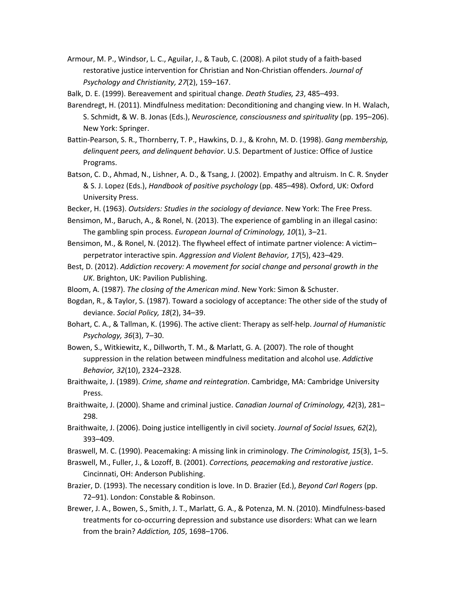Armour, M. P., Windsor, L. C., Aguilar, J., & Taub, C. (2008). A pilot study of a faith-based restorative justice intervention for Christian and Non-Christian offenders. *Journal of Psychology and Christianity, 27*(2), 159–167.

Balk, D. E. (1999). Bereavement and spiritual change. *Death Studies, 23*, 485–493.

- Barendregt, H. (2011). Mindfulness meditation: Deconditioning and changing view. In H. Walach, S. Schmidt, & W. B. Jonas (Eds.), *Neuroscience, consciousness and spirituality* (pp. 195–206). New York: Springer.
- Battin-Pearson, S. R., Thornberry, T. P., Hawkins, D. J., & Krohn, M. D. (1998). *Gang membership, delinquent peers, and delinquent behavior*. U.S. Department of Justice: Office of Justice Programs.
- Batson, C. D., Ahmad, N., Lishner, A. D., & Tsang, J. (2002). Empathy and altruism. In C. R. Snyder & S. J. Lopez (Eds.), *Handbook of positive psychology* (pp. 485–498). Oxford, UK: Oxford University Press.
- Becker, H. (1963). *Outsiders: Studies in the sociology of deviance*. New York: The Free Press.
- Bensimon, M., Baruch, A., & Ronel, N. (2013). The experience of gambling in an illegal casino: The gambling spin process. *European Journal of Criminology, 10*(1), 3–21.
- Bensimon, M., & Ronel, N. (2012). The flywheel effect of intimate partner violence: A victim– perpetrator interactive spin. *Aggression and Violent Behavior, 17*(5), 423–429.
- Best, D. (2012). *Addiction recovery: A movement for social change and personal growth in the UK*. Brighton, UK: Pavilion Publishing.
- Bloom, A. (1987). *The closing of the American mind*. New York: Simon & Schuster.
- Bogdan, R., & Taylor, S. (1987). Toward a sociology of acceptance: The other side of the study of deviance. *Social Policy, 18*(2), 34–39.
- Bohart, C. A., & Tallman, K. (1996). The active client: Therapy as self-help. *Journal of Humanistic Psychology, 36*(3), 7–30.
- Bowen, S., Witkiewitz, K., Dillworth, T. M., & Marlatt, G. A. (2007). The role of thought suppression in the relation between mindfulness meditation and alcohol use. *Addictive Behavior, 32*(10), 2324–2328.
- Braithwaite, J. (1989). *Crime, shame and reintegration*. Cambridge, MA: Cambridge University Press.
- Braithwaite, J. (2000). Shame and criminal justice. *Canadian Journal of Criminology, 42*(3), 281– 298.
- Braithwaite, J. (2006). Doing justice intelligently in civil society. *Journal of Social Issues, 62*(2), 393–409.

Braswell, M. C. (1990). Peacemaking: A missing link in criminology. *The Criminologist, 15*(3), 1–5.

- Braswell, M., Fuller, J., & Lozoff, B. (2001). *Corrections, peacemaking and restorative justice*. Cincinnati, OH: Anderson Publishing.
- Brazier, D. (1993). The necessary condition is love. In D. Brazier (Ed.), *Beyond Carl Rogers* (pp. 72–91). London: Constable & Robinson.
- Brewer, J. A., Bowen, S., Smith, J. T., Marlatt, G. A., & Potenza, M. N. (2010). Mindfulness-based treatments for co-occurring depression and substance use disorders: What can we learn from the brain? *Addiction, 105*, 1698–1706.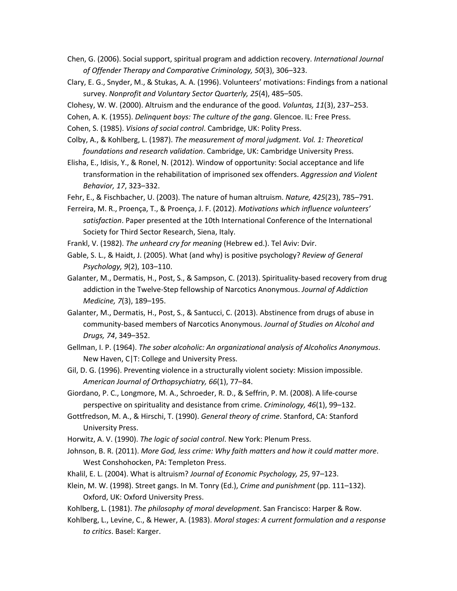- Chen, G. (2006). Social support, spiritual program and addiction recovery. *International Journal of Offender Therapy and Comparative Criminology, 50*(3), 306–323.
- Clary, E. G., Snyder, M., & Stukas, A. A. (1996). Volunteers' motivations: Findings from a national survey. *Nonprofit and Voluntary Sector Quarterly, 25*(4), 485–505.
- Clohesy, W. W. (2000). Altruism and the endurance of the good. *Voluntas, 11*(3), 237–253.
- Cohen, A. K. (1955). *Delinquent boys: The culture of the gang*. Glencoe. IL: Free Press.
- Cohen, S. (1985). *Visions of social control*. Cambridge, UK: Polity Press.
- Colby, A., & Kohlberg, L. (1987). *The measurement of moral judgment. Vol. 1: Theoretical foundations and research validation*. Cambridge, UK: Cambridge University Press.
- Elisha, E., Idisis, Y., & Ronel, N. (2012). Window of opportunity: Social acceptance and life transformation in the rehabilitation of imprisoned sex offenders. *Aggression and Violent Behavior, 17*, 323–332.
- Fehr, E., & Fischbacher, U. (2003). The nature of human altruism. *Nature, 425*(23), 785–791.
- Ferreira, M. R., Proença, T., & Proença, J. F. (2012). *Motivations which influence volunteers' satisfaction*. Paper presented at the 10th International Conference of the International Society for Third Sector Research, Siena, Italy.
- Frankl, V. (1982). *The unheard cry for meaning* (Hebrew ed.). Tel Aviv: Dvir.
- Gable, S. L., & Haidt, J. (2005). What (and why) is positive psychology? *Review of General Psychology, 9*(2), 103–110.
- Galanter, M., Dermatis, H., Post, S., & Sampson, C. (2013). Spirituality-based recovery from drug addiction in the Twelve-Step fellowship of Narcotics Anonymous. *Journal of Addiction Medicine, 7*(3), 189–195.
- Galanter, M., Dermatis, H., Post, S., & Santucci, C. (2013). Abstinence from drugs of abuse in community-based members of Narcotics Anonymous. *Journal of Studies on Alcohol and Drugs, 74*, 349–352.
- Gellman, I. P. (1964). *The sober alcoholic: An organizational analysis of Alcoholics Anonymous*. New Haven, C|T: College and University Press.
- Gil, D. G. (1996). Preventing violence in a structurally violent society: Mission impossible. *American Journal of Orthopsychiatry, 66*(1), 77–84.
- Giordano, P. C., Longmore, M. A., Schroeder, R. D., & Seffrin, P. M. (2008). A life-course perspective on spirituality and desistance from crime. *Criminology, 46*(1), 99–132.
- Gottfredson, M. A., & Hirschi, T. (1990). *General theory of crime*. Stanford, CA: Stanford University Press.
- Horwitz, A. V. (1990). *The logic of social control*. New York: Plenum Press.
- Johnson, B. R. (2011). *More God, less crime: Why faith matters and how it could matter more*. West Conshohocken, PA: Templeton Press.
- Khalil, E. L. (2004). What is altruism? *Journal of Economic Psychology, 25*, 97–123.
- Klein, M. W. (1998). Street gangs. In M. Tonry (Ed.), *Crime and punishment* (pp. 111–132). Oxford, UK: Oxford University Press.
- Kohlberg, L. (1981). *The philosophy of moral development*. San Francisco: Harper & Row.
- Kohlberg, L., Levine, C., & Hewer, A. (1983). *Moral stages: A current formulation and a response to critics*. Basel: Karger.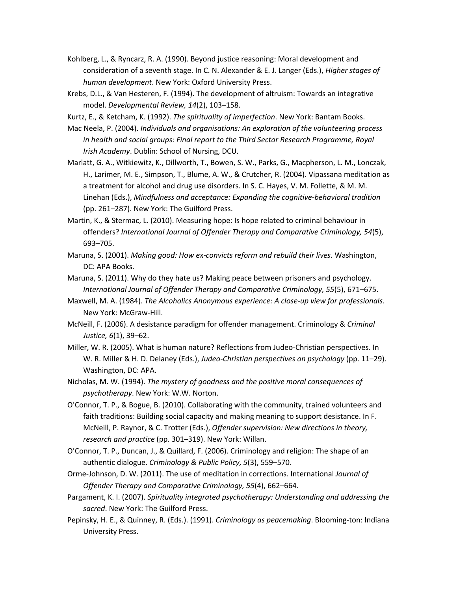- Kohlberg, L., & Ryncarz, R. A. (1990). Beyond justice reasoning: Moral development and consideration of a seventh stage. In C. N. Alexander & E. J. Langer (Eds.), *Higher stages of human development*. New York: Oxford University Press.
- Krebs, D.L., & Van Hesteren, F. (1994). The development of altruism: Towards an integrative model. *Developmental Review, 14*(2), 103–158.
- Kurtz, E., & Ketcham, K. (1992). *The spirituality of imperfection*. New York: Bantam Books.
- Mac Neela, P. (2004). *Individuals and organisations: An exploration of the volunteering process in health and social groups: Final report to the Third Sector Research Programme, Royal Irish Academy*. Dublin: School of Nursing, DCU.
- Marlatt, G. A., Witkiewitz, K., Dillworth, T., Bowen, S. W., Parks, G., Macpherson, L. M., Lonczak, H., Larimer, M. E., Simpson, T., Blume, A. W., & Crutcher, R. (2004). Vipassana meditation as a treatment for alcohol and drug use disorders. In S. C. Hayes, V. M. Follette, & M. M. Linehan (Eds.), *Mindfulness and acceptance: Expanding the cognitive-behavioral tradition* (pp. 261–287). New York: The Guilford Press.
- Martin, K., & Stermac, L. (2010). Measuring hope: Is hope related to criminal behaviour in offenders? *International Journal of Offender Therapy and Comparative Criminology, 54*(5), 693–705.
- Maruna, S. (2001). *Making good: How ex-convicts reform and rebuild their lives*. Washington, DC: APA Books.
- Maruna, S. (2011). Why do they hate us? Making peace between prisoners and psychology. *International Journal of Offender Therapy and Comparative Criminology, 55*(5), 671–675.
- Maxwell, M. A. (1984). *The Alcoholics Anonymous experience: A close-up view for professionals*. New York: McGraw-Hill.
- McNeill, F. (2006). A desistance paradigm for offender management. Criminology & *Criminal Justice, 6*(1), 39–62.
- Miller, W. R. (2005). What is human nature? Reflections from Judeo-Christian perspectives. In W. R. Miller & H. D. Delaney (Eds.), *Judeo-Christian perspectives on psychology* (pp. 11–29). Washington, DC: APA.
- Nicholas, M. W. (1994). *The mystery of goodness and the positive moral consequences of psychotherapy*. New York: W.W. Norton.
- O'Connor, T. P., & Bogue, B. (2010). Collaborating with the community, trained volunteers and faith traditions: Building social capacity and making meaning to support desistance. In F. McNeill, P. Raynor, & C. Trotter (Eds.), *Offender supervision: New directions in theory, research and practice* (pp. 301–319). New York: Willan.
- O'Connor, T. P., Duncan, J., & Quillard, F. (2006). Criminology and religion: The shape of an authentic dialogue. *Criminology & Public Policy, 5*(3), 559–570.
- Orme-Johnson, D. W. (2011). The use of meditation in corrections. International *Journal of Offender Therapy and Comparative Criminology, 55*(4), 662–664.
- Pargament, K. I. (2007). *Spirituality integrated psychotherapy: Understanding and addressing the sacred*. New York: The Guilford Press.
- Pepinsky, H. E., & Quinney, R. (Eds.). (1991). *Criminology as peacemaking*. Blooming-ton: Indiana University Press.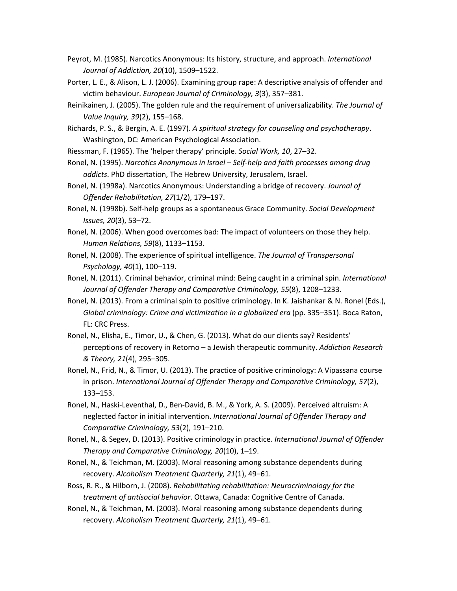- Peyrot, M. (1985). Narcotics Anonymous: Its history, structure, and approach. *International Journal of Addiction, 20*(10), 1509–1522.
- Porter, L. E., & Alison, L. J. (2006). Examining group rape: A descriptive analysis of offender and victim behaviour. *European Journal of Criminology, 3*(3), 357–381.
- Reinikainen, J. (2005). The golden rule and the requirement of universalizability. *The Journal of Value Inquiry, 39*(2), 155–168.
- Richards, P. S., & Bergin, A. E. (1997). *A spiritual strategy for counseling and psychotherapy*. Washington, DC: American Psychological Association.
- Riessman, F. (1965). The 'helper therapy' principle. *Social Work, 10*, 27–32.
- Ronel, N. (1995). *Narcotics Anonymous in Israel – Self-help and faith processes among drug addicts*. PhD dissertation, The Hebrew University, Jerusalem, Israel.
- Ronel, N. (1998a). Narcotics Anonymous: Understanding a bridge of recovery. *Journal of Offender Rehabilitation, 27*(1/2), 179–197.
- Ronel, N. (1998b). Self-help groups as a spontaneous Grace Community. *Social Development Issues, 20*(3), 53–72.
- Ronel, N. (2006). When good overcomes bad: The impact of volunteers on those they help. *Human Relations, 59*(8), 1133–1153.
- Ronel, N. (2008). The experience of spiritual intelligence. *The Journal of Transpersonal Psychology, 40*(1), 100–119.
- Ronel, N. (2011). Criminal behavior, criminal mind: Being caught in a criminal spin. *International Journal of Offender Therapy and Comparative Criminology, 55*(8), 1208–1233.
- Ronel, N. (2013). From a criminal spin to positive criminology. In K. Jaishankar & N. Ronel (Eds.), *Global criminology: Crime and victimization in a globalized era* (pp. 335–351). Boca Raton, FL: CRC Press.
- Ronel, N., Elisha, E., Timor, U., & Chen, G. (2013). What do our clients say? Residents' perceptions of recovery in Retorno – a Jewish therapeutic community. *Addiction Research & Theory, 21*(4), 295–305.
- Ronel, N., Frid, N., & Timor, U. (2013). The practice of positive criminology: A Vipassana course in prison. *International Journal of Offender Therapy and Comparative Criminology, 57*(2), 133–153.
- Ronel, N., Haski-Leventhal, D., Ben-David, B. M., & York, A. S. (2009). Perceived altruism: A neglected factor in initial intervention. *International Journal of Offender Therapy and Comparative Criminology, 53*(2), 191–210.
- Ronel, N., & Segev, D. (2013). Positive criminology in practice. *International Journal of Offender Therapy and Comparative Criminology, 20*(10), 1–19.
- Ronel, N., & Teichman, M. (2003). Moral reasoning among substance dependents during recovery. *Alcoholism Treatment Quarterly, 21*(1), 49–61.
- Ross, R. R., & Hilborn, J. (2008). *Rehabilitating rehabilitation: Neurocriminology for the treatment of antisocial behavior*. Ottawa, Canada: Cognitive Centre of Canada.
- Ronel, N., & Teichman, M. (2003). Moral reasoning among substance dependents during recovery. *Alcoholism Treatment Quarterly, 21*(1), 49–61.